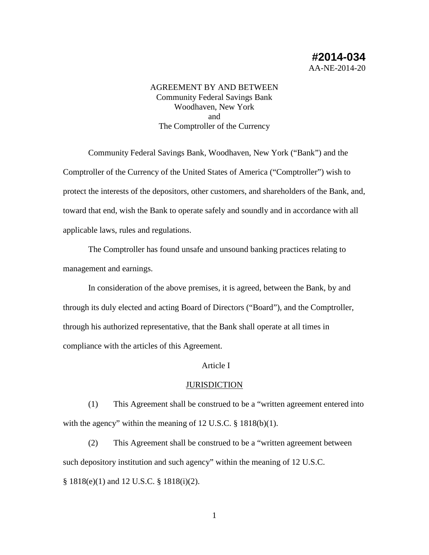# AGREEMENT BY AND BETWEEN Community Federal Savings Bank Woodhaven, New York and The Comptroller of the Currency

Community Federal Savings Bank, Woodhaven, New York ("Bank") and the Comptroller of the Currency of the United States of America ("Comptroller") wish to protect the interests of the depositors, other customers, and shareholders of the Bank, and, toward that end, wish the Bank to operate safely and soundly and in accordance with all applicable laws, rules and regulations.

The Comptroller has found unsafe and unsound banking practices relating to management and earnings.

In consideration of the above premises, it is agreed, between the Bank, by and through its duly elected and acting Board of Directors ("Board"), and the Comptroller, through his authorized representative, that the Bank shall operate at all times in compliance with the articles of this Agreement.

## Article I

## **JURISDICTION**

(1) This Agreement shall be construed to be a "written agreement entered into with the agency" within the meaning of 12 U.S.C. § 1818(b)(1).

(2) This Agreement shall be construed to be a "written agreement between such depository institution and such agency" within the meaning of 12 U.S.C. § 1818(e)(1) and 12 U.S.C. § 1818(i)(2).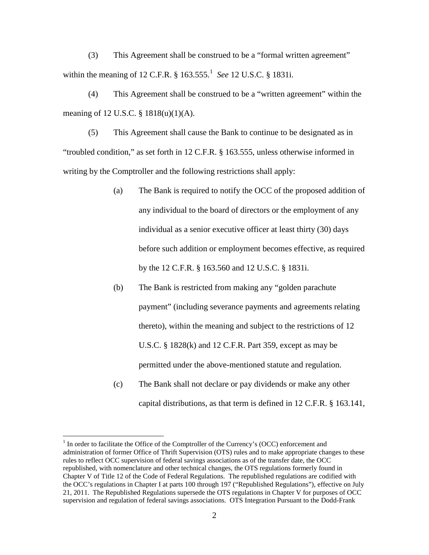(3) This Agreement shall be construed to be a "formal written agreement" within the meaning of [1](#page-1-0)2 C.F.R. § 163.555.<sup>1</sup> See 12 U.S.C. § 1831i.

(4) This Agreement shall be construed to be a "written agreement" within the meaning of 12 U.S.C. § 1818(u)(1)(A).

(5) This Agreement shall cause the Bank to continue to be designated as in "troubled condition," as set forth in 12 C.F.R. § 163.555, unless otherwise informed in writing by the Comptroller and the following restrictions shall apply:

- (a) The Bank is required to notify the OCC of the proposed addition of any individual to the board of directors or the employment of any individual as a senior executive officer at least thirty (30) days before such addition or employment becomes effective, as required by the 12 C.F.R. § 163.560 and 12 U.S.C. § 1831i.
- (b) The Bank is restricted from making any "golden parachute payment" (including severance payments and agreements relating thereto), within the meaning and subject to the restrictions of 12 U.S.C. § 1828(k) and 12 C.F.R. Part 359, except as may be permitted under the above-mentioned statute and regulation.
- (c) The Bank shall not declare or pay dividends or make any other capital distributions, as that term is defined in 12 C.F.R. § 163.141,

<span id="page-1-0"></span><sup>&</sup>lt;sup>1</sup> In order to facilitate the Office of the Comptroller of the Currency's (OCC) enforcement and administration of former Office of Thrift Supervision (OTS) rules and to make appropriate changes to these rules to reflect OCC supervision of federal savings associations as of the transfer date, the OCC republished, with nomenclature and other technical changes, the OTS regulations formerly found in Chapter V of Title 12 of the Code of Federal Regulations. The republished regulations are codified with the OCC's regulations in Chapter I at parts 100 through 197 ("Republished Regulations"), effective on July 21, 2011. The Republished Regulations supersede the OTS regulations in Chapter V for purposes of OCC supervision and regulation of federal savings associations. OTS Integration Pursuant to the Dodd-Frank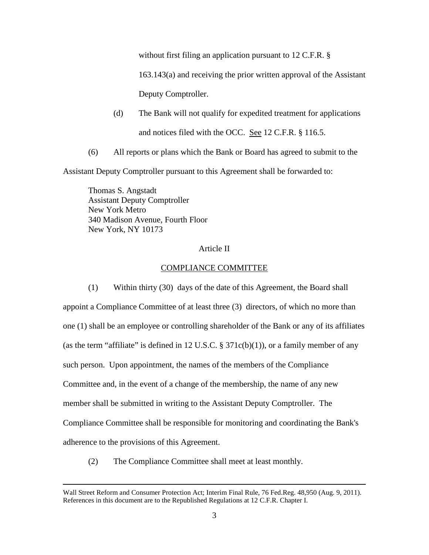without first filing an application pursuant to 12 C.F.R. §

163.143(a) and receiving the prior written approval of the Assistant

Deputy Comptroller.

- (d) The Bank will not qualify for expedited treatment for applications and notices filed with the OCC. See 12 C.F.R. § 116.5.
- (6) All reports or plans which the Bank or Board has agreed to submit to the

Assistant Deputy Comptroller pursuant to this Agreement shall be forwarded to:

Thomas S. Angstadt Assistant Deputy Comptroller New York Metro 340 Madison Avenue, Fourth Floor New York, NY 10173

# Article II

# COMPLIANCE COMMITTEE

(1) Within thirty (30) days of the date of this Agreement, the Board shall appoint a Compliance Committee of at least three (3) directors, of which no more than one (1) shall be an employee or controlling shareholder of the Bank or any of its affiliates (as the term "affiliate" is defined in 12 U.S.C.  $\S 371c(b)(1)$ ), or a family member of any such person. Upon appointment, the names of the members of the Compliance Committee and, in the event of a change of the membership, the name of any new member shall be submitted in writing to the Assistant Deputy Comptroller. The Compliance Committee shall be responsible for monitoring and coordinating the Bank's adherence to the provisions of this Agreement.

(2) The Compliance Committee shall meet at least monthly.

 $\overline{a}$ 

Wall Street Reform and Consumer Protection Act; Interim Final Rule, 76 Fed.Reg. 48,950 (Aug. 9, 2011). References in this document are to the Republished Regulations at 12 C.F.R. Chapter I.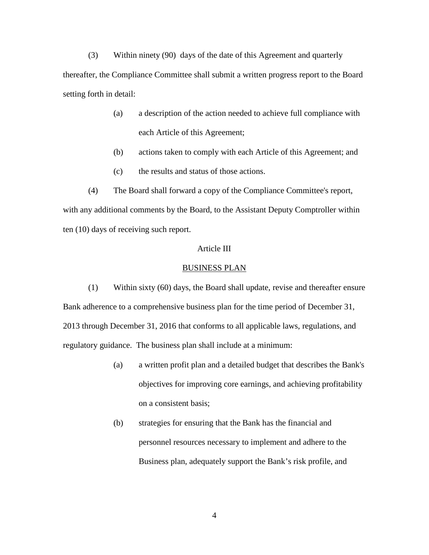(3) Within ninety (90) days of the date of this Agreement and quarterly thereafter, the Compliance Committee shall submit a written progress report to the Board setting forth in detail:

- (a) a description of the action needed to achieve full compliance with each Article of this Agreement;
- (b) actions taken to comply with each Article of this Agreement; and
- (c) the results and status of those actions.

(4) The Board shall forward a copy of the Compliance Committee's report, with any additional comments by the Board, to the Assistant Deputy Comptroller within ten (10) days of receiving such report.

# Article III

#### BUSINESS PLAN

(1) Within sixty (60) days, the Board shall update, revise and thereafter ensure Bank adherence to a comprehensive business plan for the time period of December 31, 2013 through December 31, 2016 that conforms to all applicable laws, regulations, and regulatory guidance. The business plan shall include at a minimum:

- (a) a written profit plan and a detailed budget that describes the Bank's objectives for improving core earnings, and achieving profitability on a consistent basis;
- (b) strategies for ensuring that the Bank has the financial and personnel resources necessary to implement and adhere to the Business plan, adequately support the Bank's risk profile, and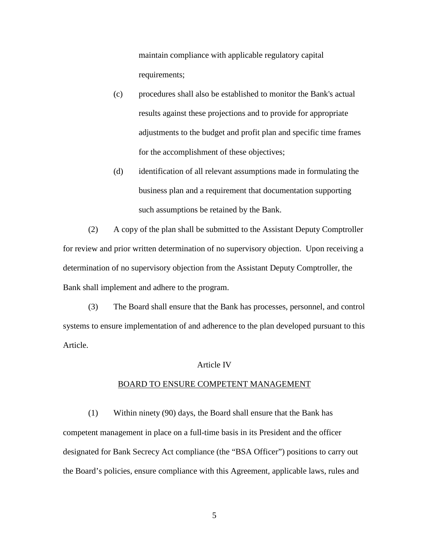maintain compliance with applicable regulatory capital requirements;

- (c) procedures shall also be established to monitor the Bank's actual results against these projections and to provide for appropriate adjustments to the budget and profit plan and specific time frames for the accomplishment of these objectives;
- (d) identification of all relevant assumptions made in formulating the business plan and a requirement that documentation supporting such assumptions be retained by the Bank.

(2) A copy of the plan shall be submitted to the Assistant Deputy Comptroller for review and prior written determination of no supervisory objection. Upon receiving a determination of no supervisory objection from the Assistant Deputy Comptroller, the Bank shall implement and adhere to the program.

(3) The Board shall ensure that the Bank has processes, personnel, and control systems to ensure implementation of and adherence to the plan developed pursuant to this Article.

### Article IV

#### BOARD TO ENSURE COMPETENT MANAGEMENT

(1) Within ninety (90) days, the Board shall ensure that the Bank has competent management in place on a full-time basis in its President and the officer designated for Bank Secrecy Act compliance (the "BSA Officer") positions to carry out the Board's policies, ensure compliance with this Agreement, applicable laws, rules and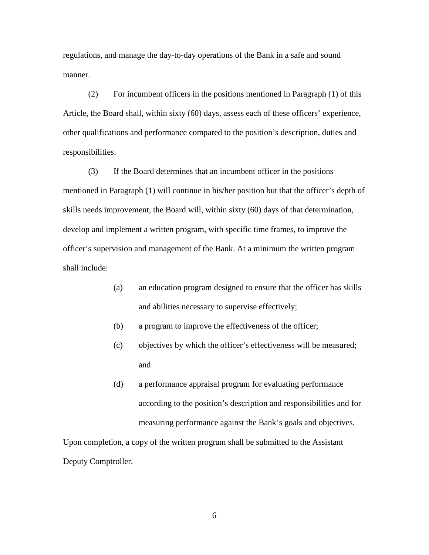regulations, and manage the day-to-day operations of the Bank in a safe and sound manner.

(2) For incumbent officers in the positions mentioned in Paragraph (1) of this Article, the Board shall, within sixty (60) days, assess each of these officers' experience, other qualifications and performance compared to the position's description, duties and responsibilities.

(3) If the Board determines that an incumbent officer in the positions mentioned in Paragraph (1) will continue in his/her position but that the officer's depth of skills needs improvement, the Board will, within sixty (60) days of that determination, develop and implement a written program, with specific time frames, to improve the officer's supervision and management of the Bank. At a minimum the written program shall include:

- (a) an education program designed to ensure that the officer has skills and abilities necessary to supervise effectively;
- (b) a program to improve the effectiveness of the officer;
- (c) objectives by which the officer's effectiveness will be measured; and
- (d) a performance appraisal program for evaluating performance according to the position's description and responsibilities and for measuring performance against the Bank's goals and objectives.

Upon completion, a copy of the written program shall be submitted to the Assistant Deputy Comptroller.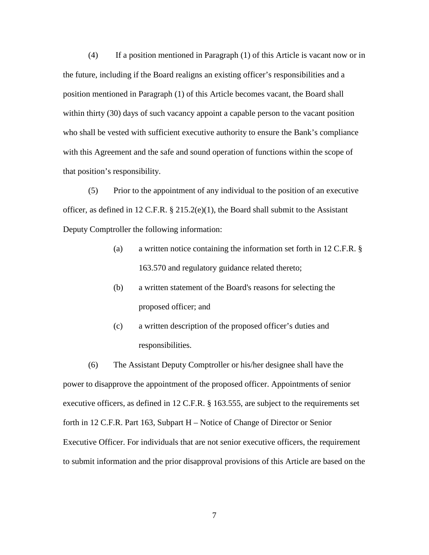(4) If a position mentioned in Paragraph (1) of this Article is vacant now or in the future, including if the Board realigns an existing officer's responsibilities and a position mentioned in Paragraph (1) of this Article becomes vacant, the Board shall within thirty (30) days of such vacancy appoint a capable person to the vacant position who shall be vested with sufficient executive authority to ensure the Bank's compliance with this Agreement and the safe and sound operation of functions within the scope of that position's responsibility.

(5) Prior to the appointment of any individual to the position of an executive officer, as defined in 12 C.F.R.  $\S$  215.2(e)(1), the Board shall submit to the Assistant Deputy Comptroller the following information:

- (a) a written notice containing the information set forth in 12 C.F.R. § 163.570 and regulatory guidance related thereto;
- (b) a written statement of the Board's reasons for selecting the proposed officer; and
- (c) a written description of the proposed officer's duties and responsibilities.

(6) The Assistant Deputy Comptroller or his/her designee shall have the power to disapprove the appointment of the proposed officer. Appointments of senior executive officers, as defined in 12 C.F.R. § 163.555, are subject to the requirements set forth in 12 C.F.R. Part 163, Subpart H – Notice of Change of Director or Senior Executive Officer. For individuals that are not senior executive officers, the requirement to submit information and the prior disapproval provisions of this Article are based on the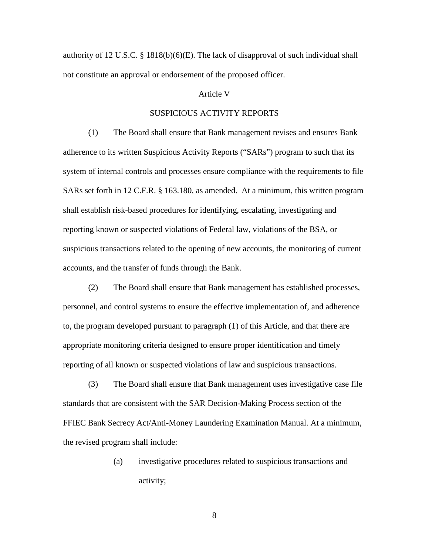authority of 12 U.S.C. § 1818(b)(6)(E). The lack of disapproval of such individual shall not constitute an approval or endorsement of the proposed officer.

# Article V

### SUSPICIOUS ACTIVITY REPORTS

(1) The Board shall ensure that Bank management revises and ensures Bank adherence to its written Suspicious Activity Reports ("SARs") program to such that its system of internal controls and processes ensure compliance with the requirements to file SARs set forth in 12 C.F.R. § 163.180, as amended. At a minimum, this written program shall establish risk-based procedures for identifying, escalating, investigating and reporting known or suspected violations of Federal law, violations of the BSA, or suspicious transactions related to the opening of new accounts, the monitoring of current accounts, and the transfer of funds through the Bank.

(2) The Board shall ensure that Bank management has established processes, personnel, and control systems to ensure the effective implementation of, and adherence to, the program developed pursuant to paragraph (1) of this Article, and that there are appropriate monitoring criteria designed to ensure proper identification and timely reporting of all known or suspected violations of law and suspicious transactions.

(3) The Board shall ensure that Bank management uses investigative case file standards that are consistent with the SAR Decision-Making Process section of the FFIEC Bank Secrecy Act/Anti-Money Laundering Examination Manual. At a minimum, the revised program shall include:

> (a) investigative procedures related to suspicious transactions and activity;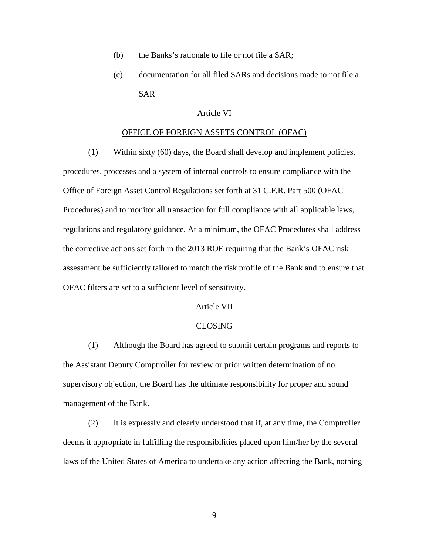- (b) the Banks's rationale to file or not file a SAR;
- (c) documentation for all filed SARs and decisions made to not file a SAR

## Article VI

## OFFICE OF FOREIGN ASSETS CONTROL (OFAC)

(1) Within sixty (60) days, the Board shall develop and implement policies,

procedures, processes and a system of internal controls to ensure compliance with the Office of Foreign Asset Control Regulations set forth at 31 C.F.R. Part 500 (OFAC Procedures) and to monitor all transaction for full compliance with all applicable laws, regulations and regulatory guidance. At a minimum, the OFAC Procedures shall address the corrective actions set forth in the 2013 ROE requiring that the Bank's OFAC risk assessment be sufficiently tailored to match the risk profile of the Bank and to ensure that OFAC filters are set to a sufficient level of sensitivity.

## Article VII

#### CLOSING

(1) Although the Board has agreed to submit certain programs and reports to the Assistant Deputy Comptroller for review or prior written determination of no supervisory objection, the Board has the ultimate responsibility for proper and sound management of the Bank.

(2) It is expressly and clearly understood that if, at any time, the Comptroller deems it appropriate in fulfilling the responsibilities placed upon him/her by the several laws of the United States of America to undertake any action affecting the Bank, nothing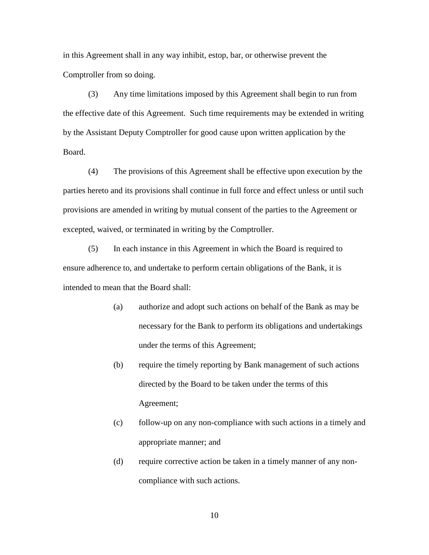in this Agreement shall in any way inhibit, estop, bar, or otherwise prevent the Comptroller from so doing.

(3) Any time limitations imposed by this Agreement shall begin to run from the effective date of this Agreement. Such time requirements may be extended in writing by the Assistant Deputy Comptroller for good cause upon written application by the Board.

(4) The provisions of this Agreement shall be effective upon execution by the parties hereto and its provisions shall continue in full force and effect unless or until such provisions are amended in writing by mutual consent of the parties to the Agreement or excepted, waived, or terminated in writing by the Comptroller.

(5) In each instance in this Agreement in which the Board is required to ensure adherence to, and undertake to perform certain obligations of the Bank, it is intended to mean that the Board shall:

- (a) authorize and adopt such actions on behalf of the Bank as may be necessary for the Bank to perform its obligations and undertakings under the terms of this Agreement;
- (b) require the timely reporting by Bank management of such actions directed by the Board to be taken under the terms of this Agreement;
- (c) follow-up on any non-compliance with such actions in a timely and appropriate manner; and
- (d) require corrective action be taken in a timely manner of any noncompliance with such actions.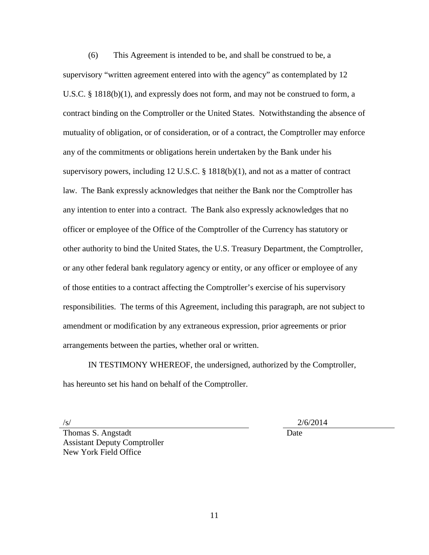(6) This Agreement is intended to be, and shall be construed to be, a supervisory "written agreement entered into with the agency" as contemplated by 12 U.S.C. § 1818(b)(1), and expressly does not form, and may not be construed to form, a contract binding on the Comptroller or the United States. Notwithstanding the absence of mutuality of obligation, or of consideration, or of a contract, the Comptroller may enforce any of the commitments or obligations herein undertaken by the Bank under his supervisory powers, including 12 U.S.C. § 1818(b)(1), and not as a matter of contract law. The Bank expressly acknowledges that neither the Bank nor the Comptroller has any intention to enter into a contract. The Bank also expressly acknowledges that no officer or employee of the Office of the Comptroller of the Currency has statutory or other authority to bind the United States, the U.S. Treasury Department, the Comptroller, or any other federal bank regulatory agency or entity, or any officer or employee of any of those entities to a contract affecting the Comptroller's exercise of his supervisory responsibilities. The terms of this Agreement, including this paragraph, are not subject to amendment or modification by any extraneous expression, prior agreements or prior arrangements between the parties, whether oral or written.

IN TESTIMONY WHEREOF, the undersigned, authorized by the Comptroller, has hereunto set his hand on behalf of the Comptroller.

 $/$ s/ $/$ s/ $/$ Date

Thomas S. Angstadt Assistant Deputy Comptroller New York Field Office